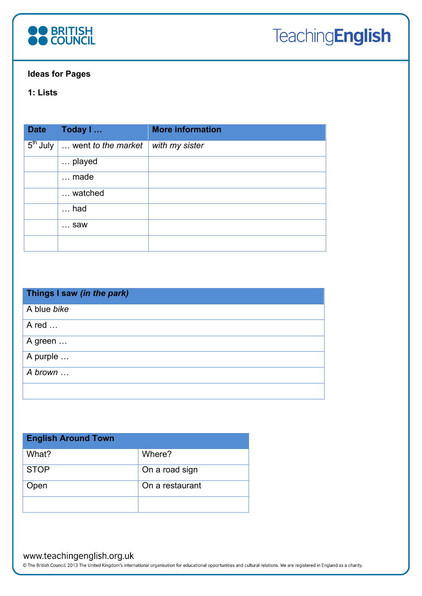

## **Ideas for Pages**

# **1: Lists**

| <b>Date</b> | Today I                                                    | <b>More information</b> |
|-------------|------------------------------------------------------------|-------------------------|
|             | $\overline{5^{th}}$ July $\overline{1}$ went to the market | with my sister          |
|             | played                                                     |                         |
|             | $\ldots$ made                                              |                         |
|             | watched                                                    |                         |
|             | $\ldots$ had                                               |                         |
|             | $\ldots$ saw                                               |                         |
|             |                                                            |                         |

| Things I saw (in the park) |
|----------------------------|
| A blue bike                |
| A red                      |
| A green                    |
| A purple                   |
| A brown                    |
|                            |

| <b>English Around Town</b> |                 |  |  |  |
|----------------------------|-----------------|--|--|--|
| What?                      | Where?          |  |  |  |
| <b>STOP</b>                | On a road sign  |  |  |  |
| pen                        | On a restaurant |  |  |  |
|                            |                 |  |  |  |

## www.teachingenglish.org.uk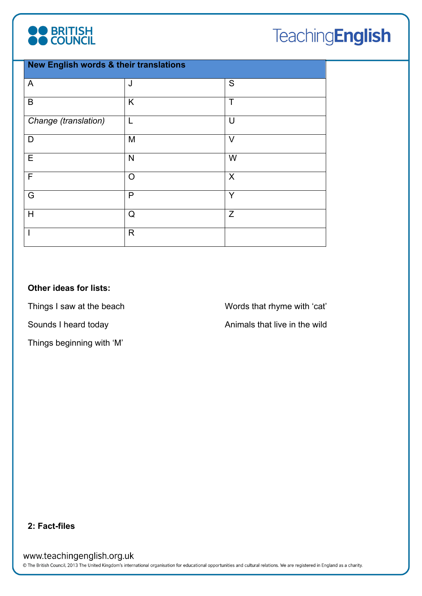

# **TeachingEnglish**

| <b>New English words &amp; their translations</b> |              |             |  |
|---------------------------------------------------|--------------|-------------|--|
| A                                                 | J            | S           |  |
| B                                                 | K            | $\mathsf T$ |  |
| Change (translation)                              | $\mathsf{L}$ | U           |  |
| D                                                 | M            | $\vee$      |  |
| $\mathsf E$                                       | N            | W           |  |
| F                                                 | $\circ$      | X           |  |
| G                                                 | P            | Y           |  |
| H                                                 | Q            | Z           |  |
|                                                   | $\mathsf{R}$ |             |  |

# **Other ideas for lists:**

Things I saw at the beach

Sounds I heard today

Things beginning with 'M'

Words that rhyme with 'cat' Animals that live in the wild

## **2: Fact-files**

www.teachingenglish.org.uk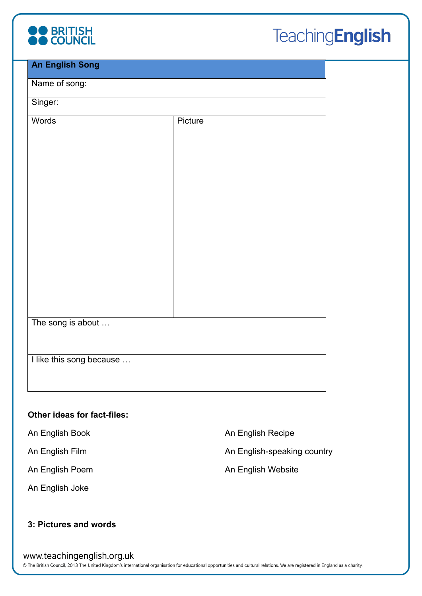

# **TeachingEnglish**

| <b>An English Song</b>   |         |  |
|--------------------------|---------|--|
| Name of song:            |         |  |
|                          |         |  |
| Singer:                  |         |  |
| <b>Words</b>             | Picture |  |
|                          |         |  |
|                          |         |  |
|                          |         |  |
|                          |         |  |
|                          |         |  |
|                          |         |  |
|                          |         |  |
|                          |         |  |
|                          |         |  |
|                          |         |  |
|                          |         |  |
|                          |         |  |
|                          |         |  |
|                          |         |  |
| The song is about        |         |  |
|                          |         |  |
|                          |         |  |
| I like this song because |         |  |
|                          |         |  |
|                          |         |  |
|                          |         |  |

# **Other ideas for fact-files:**

An English Book

An English Film

An English Poem

An English Joke

An English Recipe

An English-speaking country

An English Website

# **3: Pictures and words**

#### www.teachingenglish.org.uk